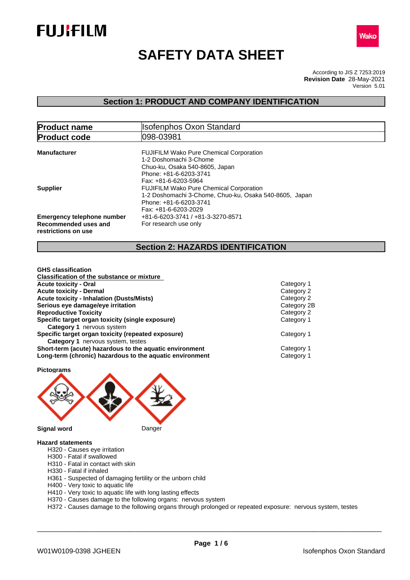



# **SAFETY DATA SHEET**

According to JIS Z 7253:2019 Version 5.01 **Revision Date** 28-May-2021

### **Section 1: PRODUCT AND COMPANY IDENTIFICATION**

| <b>Product name</b>                                                              | <b>Isofenphos Oxon Standard</b>                                                                                                                                                    |  |
|----------------------------------------------------------------------------------|------------------------------------------------------------------------------------------------------------------------------------------------------------------------------------|--|
| <b>Product code</b>                                                              | 1098-03981                                                                                                                                                                         |  |
| <b>Manufacturer</b>                                                              | <b>FUJIFILM Wako Pure Chemical Corporation</b><br>1-2 Doshomachi 3-Chome<br>Chuo-ku, Osaka 540-8605, Japan<br>Phone: +81-6-6203-3741                                               |  |
| <b>Supplier</b>                                                                  | Fax: +81-6-6203-5964<br><b>FUJIFILM Wako Pure Chemical Corporation</b><br>1-2 Doshomachi 3-Chome, Chuo-ku, Osaka 540-8605, Japan<br>Phone: +81-6-6203-3741<br>Fax: +81-6-6203-2029 |  |
| <b>Emergency telephone number</b><br>Recommended uses and<br>restrictions on use | +81-6-6203-3741 / +81-3-3270-8571<br>For research use only                                                                                                                         |  |

### **Section 2: HAZARDS IDENTIFICATION**

| <b>GHS</b> classification                                                                                           |                          |
|---------------------------------------------------------------------------------------------------------------------|--------------------------|
| <b>Classification of the substance or mixture</b>                                                                   |                          |
| <b>Acute toxicity - Oral</b>                                                                                        | Category 1               |
| <b>Acute toxicity - Dermal</b>                                                                                      | Category 2               |
| <b>Acute toxicity - Inhalation (Dusts/Mists)</b>                                                                    | Category 2               |
| Serious eye damage/eye irritation                                                                                   | Category 2B              |
| <b>Reproductive Toxicity</b>                                                                                        | Category 2               |
| Specific target organ toxicity (single exposure)                                                                    | Category 1               |
| <b>Category 1 nervous system</b>                                                                                    |                          |
| Specific target organ toxicity (repeated exposure)<br><b>Category 1</b> nervous system, testes                      | Category 1               |
| Short-term (acute) hazardous to the aquatic environment<br>Long-term (chronic) hazardous to the aquatic environment | Category 1<br>Category 1 |
|                                                                                                                     |                          |



#### **Hazard statements**

- H320 Causes eye irritation
- H300 Fatal if swallowed
- H310 Fatal in contact with skin
- H330 Fatal if inhaled
- H361 Suspected of damaging fertility or the unborn child
- H400 Very toxic to aquatic life
- H410 Very toxic to aquatic life with long lasting effects
- H370 Causes damage to the following organs: nervous system

H372 - Causes damage to the following organs through prolonged or repeated exposure: nervous system, testes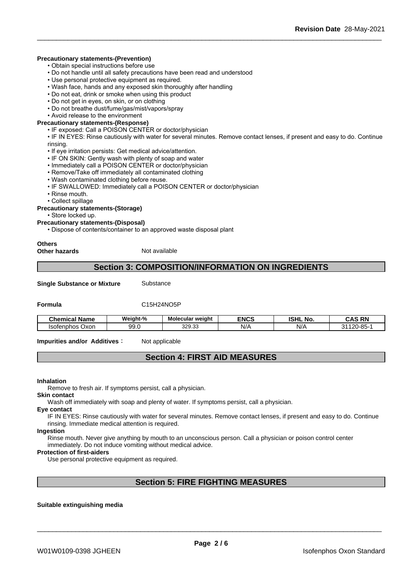#### **Precautionary statements-(Prevention)**

- Obtain special instructions before use
- Do not handle until all safety precautions have been read and understood
- Use personal protective equipment as required.
- Wash face, hands and any exposed skin thoroughly after handling
- Do not eat, drink or smoke when using this product
- Do not get in eyes, on skin, or on clothing
- Do not breathe dust/fume/gas/mist/vapors/spray
- Avoid release to the environment

#### **Precautionary statements-(Response)**

- IF exposed: Call a POISON CENTER or doctor/physician
- IF IN EYES: Rinse cautiously with water for several minutes. Remove contact lenses, if present and easy to do. Continue rinsing.
- If eye irritation persists: Get medical advice/attention.
- IF ON SKIN: Gently wash with plenty of soap and water
- Immediately call a POISON CENTER or doctor/physician
- Remove/Take off immediately all contaminated clothing
- Wash contaminated clothing before reuse.
- IF SWALLOWED: Immediately call a POISON CENTER or doctor/physician
- Rinse mouth.
- Collect spillage

#### **Precautionary statements-(Storage)**

• Store locked up.

#### **Precautionary statements-(Disposal)**

• Dispose of contents/container to an approved waste disposal plant

## **Others**

#### **Other hazards** Not available

### **Section 3: COMPOSITION/INFORMATION ON INGREDIENTS**

**Single Substance or Mixture** Substance

#### **Formula** C15H24NO5P

| <b>Chemical Name</b> | Weight-%         | <b>Molecular weight</b> | <b>ENCS</b> | <b>ISHL No.</b> | <b>CAS RN</b><br>unu                     |
|----------------------|------------------|-------------------------|-------------|-----------------|------------------------------------------|
| Isotenphos<br>Oxor   | ^^<br>uu<br>◡◡.◡ | 329.33                  | NI/<br>N/   | NI/<br>- 11     | $20 - 85 -$<br>12N.<br>- -<br><b>э</b> 4 |

**Impurities and/or Additives:** Not applicable

### **Section 4: FIRST AID MEASURES**

#### **Inhalation**

Remove to fresh air. If symptoms persist, call a physician.

#### **Skin contact**

Wash off immediately with soap and plenty of water. If symptoms persist, call a physician.

#### **Eye contact**

IF IN EYES: Rinse cautiously with water forseveral minutes. Remove contact lenses, if present and easy to do. Continue rinsing. Immediate medical attention is required.

#### **Ingestion**

Rinse mouth. Never give anything by mouth to an unconscious person. Call a physician or poison control center immediately. Do not induce vomiting without medical advice.

#### **Protection of first-aiders**

Use personal protective equipment as required.

### **Section 5: FIRE FIGHTING MEASURES**

#### **Suitable extinguishing media**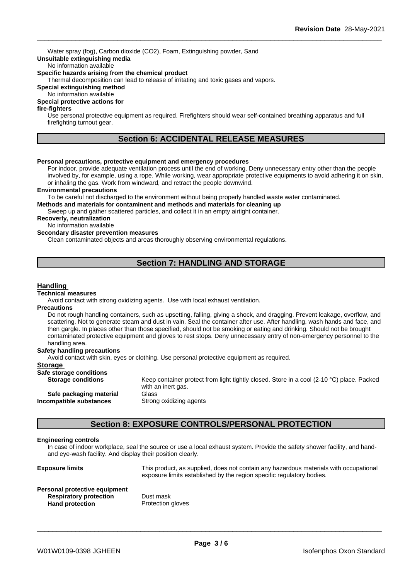Water spray (fog), Carbon dioxide (CO2), Foam, Extinguishing powder, Sand **Unsuitable extinguishing media**

#### No information available

#### **Specific hazards arising from the chemical product**

Thermal decomposition can lead to release of irritating and toxic gases and vapors.

#### **Special extinguishing method**

#### No information available

#### **Special protective actions for**

### **fire-fighters**

Use personal protective equipment as required. Firefighters should wear self-contained breathing apparatus and full firefighting turnout gear.

### **Section 6: ACCIDENTAL RELEASE MEASURES**

#### **Personal precautions, protective equipment and emergency procedures**

For indoor, provide adequate ventilation process until the end of working. Deny unnecessary entry other than the people involved by, for example, using a rope. While working, wear appropriate protective equipments to avoid adhering it on skin, or inhaling the gas. Work from windward, and retract the people downwind.

#### **Environmental precautions**

To be careful not discharged to the environment without being properly handled waste water contaminated.

**Methods and materials for contaminent and methods and materials for cleaning up**

Sweep up and gather scattered particles, and collect it in an empty airtight container.

### **Recoverly, neutralization**

#### No information available

#### **Secondary disaster prevention measures**

Clean contaminated objects and areas thoroughly observing environmental regulations.

### **Section 7: HANDLING AND STORAGE**

#### **Handling**

#### **Technical measures**

Avoid contact with strong oxidizing agents. Use with local exhaust ventilation.

#### **Precautions**

Do not rough handling containers, such as upsetting, falling, giving a shock, and dragging. Prevent leakage, overflow, and scattering. Not to generate steam and dust in vain. Seal the container after use. After handling, wash hands and face, and then gargle. In places other than those specified, should not be smoking or eating and drinking. Should not be brought contaminated protective equipment and gloves to rest stops. Deny unnecessary entry of non-emergency personnel to the handling area.

#### **Safety handling precautions**

Avoid contact with skin, eyes or clothing. Use personal protective equipment as required.

#### **Storage**

| Safe storage conditions   |                                                                                           |
|---------------------------|-------------------------------------------------------------------------------------------|
| <b>Storage conditions</b> | Keep container protect from light tightly closed. Store in a cool (2-10 °C) place. Packed |
|                           | with an inert gas.                                                                        |
| Safe packaging material   | Glass                                                                                     |
| Incompatible substances   | Strong oxidizing agents                                                                   |
|                           |                                                                                           |

### **Section 8: EXPOSURE CONTROLS/PERSONAL PROTECTION**

#### **Engineering controls**

In case of indoor workplace, seal the source or use a local exhaust system. Provide the safety shower facility, and handand eye-wash facility. And display their position clearly.

**Exposure limits** This product, as supplied, does not contain any hazardous materials with occupational exposure limits established by the region specific regulatory bodies. **Personal protective equipment Respiratory protection** Dust mask Hand protection **Protection**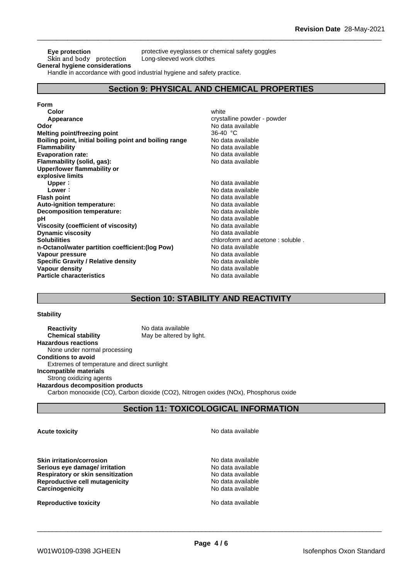### Skin and body protection **General hygiene considerations**

**Eye protection** protective eyeglasses or chemical safety goggles<br>Skin and body protection Long-sleeved work clothes

Handle in accordance with good industrial hygiene and safety practice.

### **Section 9: PHYSICAL AND CHEMICAL PROPERTIES**

#### **Form**

| Color                                                  | white                            |
|--------------------------------------------------------|----------------------------------|
| Appearance                                             | crystalline powder - powder      |
| Odor                                                   | No data available                |
| <b>Melting point/freezing point</b>                    | 36-40 °C                         |
| Boiling point, initial boiling point and boiling range | No data available                |
| <b>Flammability</b>                                    | No data available                |
| <b>Evaporation rate:</b>                               | No data available                |
| Flammability (solid, gas):                             | No data available                |
| Upper/lower flammability or                            |                                  |
| explosive limits                                       |                                  |
| Upper:                                                 | No data available                |
| Lower:                                                 | No data available                |
| <b>Flash point</b>                                     | No data available                |
| Auto-ignition temperature:                             | No data available                |
| Decomposition temperature:                             | No data available                |
| рH                                                     | No data available                |
| Viscosity (coefficient of viscosity)                   | No data available                |
| <b>Dynamic viscosity</b>                               | No data available                |
| <b>Solubilities</b>                                    | chloroform and acetone: soluble. |
| n-Octanol/water partition coefficient: (log Pow)       | No data available                |
| Vapour pressure                                        | No data available                |
| <b>Specific Gravity / Relative density</b>             | No data available                |
| <b>Vapour density</b>                                  | No data available                |
| <b>Particle characteristics</b>                        | No data available                |

### **Section 10: STABILITY AND REACTIVITY**

#### **Stability**

| <b>Reactivity</b>                           | No data available                                                                    |
|---------------------------------------------|--------------------------------------------------------------------------------------|
| <b>Chemical stability</b>                   | May be altered by light.                                                             |
| <b>Hazardous reactions</b>                  |                                                                                      |
| None under normal processing                |                                                                                      |
| <b>Conditions to avoid</b>                  |                                                                                      |
| Extremes of temperature and direct sunlight |                                                                                      |
| Incompatible materials                      |                                                                                      |
| Strong oxidizing agents                     |                                                                                      |
| <b>Hazardous decomposition products</b>     |                                                                                      |
|                                             | Carbon monooxide (CO), Carbon dioxide (CO2), Nitrogen oxides (NOx), Phosphorus oxide |

### **Section 11: TOXICOLOGICAL INFORMATION**

**Skin irritation/corrosion** No data available **Serious eye damage/ irritation**<br> **Respiratory or skin sensitization**<br> **Respiratory or skin sensitization Respiratory or skin sensitization**<br> **Reproductive cell mutagenicity**<br> **Reproductive cell mutagenicity**<br> **No data available Reproductive cell mutagenicity Carcinogenicity Carcinogenicity No data available** 

**Reproductive toxicity No data available** No data available

**Acute toxicity Acute toxicity Acute has a structure in the structure of**  $\mathbb{R}^n$  **No data available**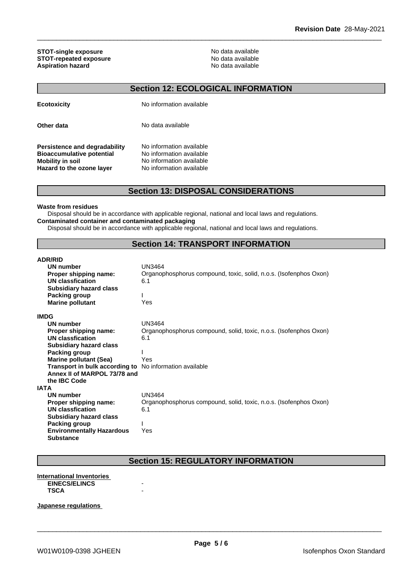**STOT-single exposure**<br> **STOT-repeated exposure**<br> **STOT-repeated exposure STOT-repeated exposure**<br> **Aspiration hazard**<br> **Aspiration hazard**<br> **Aspiration hazard Aspiration hazard** 

### **Section 12: ECOLOGICAL INFORMATION**

| <b>Ecotoxicity</b>                                                                                                        | No information available                                                                                     |
|---------------------------------------------------------------------------------------------------------------------------|--------------------------------------------------------------------------------------------------------------|
| Other data                                                                                                                | No data available                                                                                            |
| Persistence and degradability<br><b>Bioaccumulative potential</b><br><b>Mobility in soil</b><br>Hazard to the ozone layer | No information available<br>No information available<br>No information available<br>No information available |

### **Section 13: DISPOSAL CONSIDERATIONS**

#### **Waste from residues**

Disposal should be in accordance with applicable regional, national and local laws and regulations. **Contaminated container and contaminated packaging**

Disposal should be in accordance with applicable regional, national and local laws and regulations.

### **Section 14: TRANSPORT INFORMATION**

### **ADR/RID**

| ADNNID                                                         |                                                                   |
|----------------------------------------------------------------|-------------------------------------------------------------------|
| UN number                                                      | UN3464                                                            |
| Proper shipping name:                                          | Organophosphorus compound, toxic, solid, n.o.s. (Isofenphos Oxon) |
| UN classfication                                               | 6.1                                                               |
| <b>Subsidiary hazard class</b>                                 |                                                                   |
| Packing group                                                  |                                                                   |
| <b>Marine pollutant</b>                                        | Yes                                                               |
| <b>IMDG</b>                                                    |                                                                   |
| UN number                                                      | <b>UN3464</b>                                                     |
| Proper shipping name:                                          | Organophosphorus compound, solid, toxic, n.o.s. (Isofenphos Oxon) |
| <b>UN classfication</b>                                        | 6.1                                                               |
| <b>Subsidiary hazard class</b>                                 |                                                                   |
| Packing group                                                  |                                                                   |
| <b>Marine pollutant (Sea)</b>                                  | Yes                                                               |
| <b>Transport in bulk according to</b> No information available |                                                                   |
| Annex II of MARPOL 73/78 and                                   |                                                                   |
| the <b>IBC</b> Code                                            |                                                                   |
| IATA                                                           |                                                                   |
| UN number                                                      | <b>UN3464</b>                                                     |
| Proper shipping name:                                          | Organophosphorus compound, solid, toxic, n.o.s. (Isofenphos Oxon) |
| <b>UN classfication</b>                                        | 6.1                                                               |
| <b>Subsidiary hazard class</b>                                 |                                                                   |
| Packing group                                                  |                                                                   |
| <b>Environmentally Hazardous</b>                               | Yes                                                               |
| <b>Substance</b>                                               |                                                                   |

### **Section 15: REGULATORY INFORMATION**

#### **International Inventories EINECS/ELINCS TSCA** -

#### **Japanese regulations**